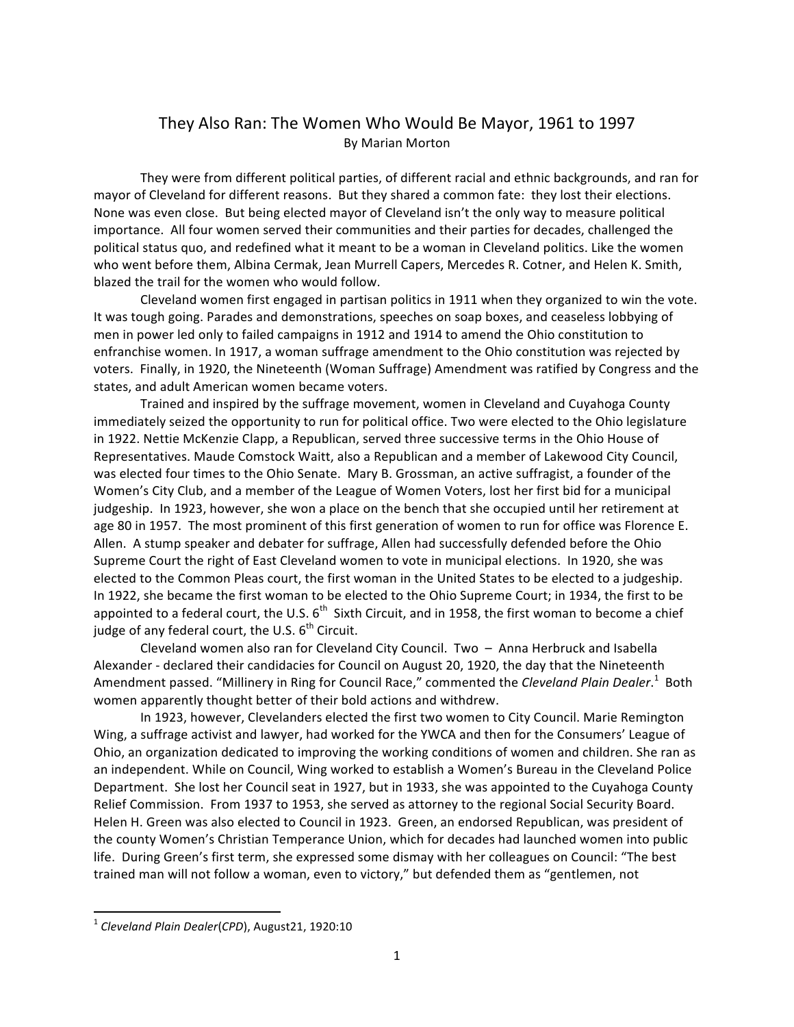# They Also Ran: The Women Who Would Be Mayor, 1961 to 1997 By Marian Morton

They were from different political parties, of different racial and ethnic backgrounds, and ran for mayor of Cleveland for different reasons. But they shared a common fate: they lost their elections. None was even close. But being elected mayor of Cleveland isn't the only way to measure political importance. All four women served their communities and their parties for decades, challenged the political status quo, and redefined what it meant to be a woman in Cleveland politics. Like the women who went before them, Albina Cermak, Jean Murrell Capers, Mercedes R. Cotner, and Helen K. Smith, blazed the trail for the women who would follow.

Cleveland women first engaged in partisan politics in 1911 when they organized to win the vote. It was tough going. Parades and demonstrations, speeches on soap boxes, and ceaseless lobbying of men in power led only to failed campaigns in 1912 and 1914 to amend the Ohio constitution to enfranchise women. In 1917, a woman suffrage amendment to the Ohio constitution was rejected by voters. Finally, in 1920, the Nineteenth (Woman Suffrage) Amendment was ratified by Congress and the states, and adult American women became voters.

Trained and inspired by the suffrage movement, women in Cleveland and Cuyahoga County immediately seized the opportunity to run for political office. Two were elected to the Ohio legislature in 1922. Nettie McKenzie Clapp, a Republican, served three successive terms in the Ohio House of Representatives. Maude Comstock Waitt, also a Republican and a member of Lakewood City Council, was elected four times to the Ohio Senate. Mary B. Grossman, an active suffragist, a founder of the Women's City Club, and a member of the League of Women Voters, lost her first bid for a municipal judgeship. In 1923, however, she won a place on the bench that she occupied until her retirement at age 80 in 1957. The most prominent of this first generation of women to run for office was Florence E. Allen. A stump speaker and debater for suffrage, Allen had successfully defended before the Ohio Supreme Court the right of East Cleveland women to vote in municipal elections. In 1920, she was elected to the Common Pleas court, the first woman in the United States to be elected to a judgeship. In 1922, she became the first woman to be elected to the Ohio Supreme Court; in 1934, the first to be appointed to a federal court, the U.S.  $6^{th}$  Sixth Circuit, and in 1958, the first woman to become a chief judge of any federal court, the U.S.  $6<sup>th</sup>$  Circuit.

Cleveland women also ran for Cleveland City Council. Two  $-$  Anna Herbruck and Isabella Alexander - declared their candidacies for Council on August 20, 1920, the day that the Nineteenth Amendment passed. "Millinery in Ring for Council Race," commented the *Cleveland Plain Dealer*.<sup>1</sup> Both women apparently thought better of their bold actions and withdrew.

In 1923, however, Clevelanders elected the first two women to City Council. Marie Remington Wing, a suffrage activist and lawyer, had worked for the YWCA and then for the Consumers' League of Ohio, an organization dedicated to improving the working conditions of women and children. She ran as an independent. While on Council, Wing worked to establish a Women's Bureau in the Cleveland Police Department. She lost her Council seat in 1927, but in 1933, she was appointed to the Cuyahoga County Relief Commission. From 1937 to 1953, she served as attorney to the regional Social Security Board. Helen H. Green was also elected to Council in 1923. Green, an endorsed Republican, was president of the county Women's Christian Temperance Union, which for decades had launched women into public life. During Green's first term, she expressed some dismay with her colleagues on Council: "The best trained man will not follow a woman, even to victory," but defended them as "gentlemen, not

<sup>&</sup>lt;sup>1</sup> Cleveland Plain Dealer(CPD), August21, 1920:10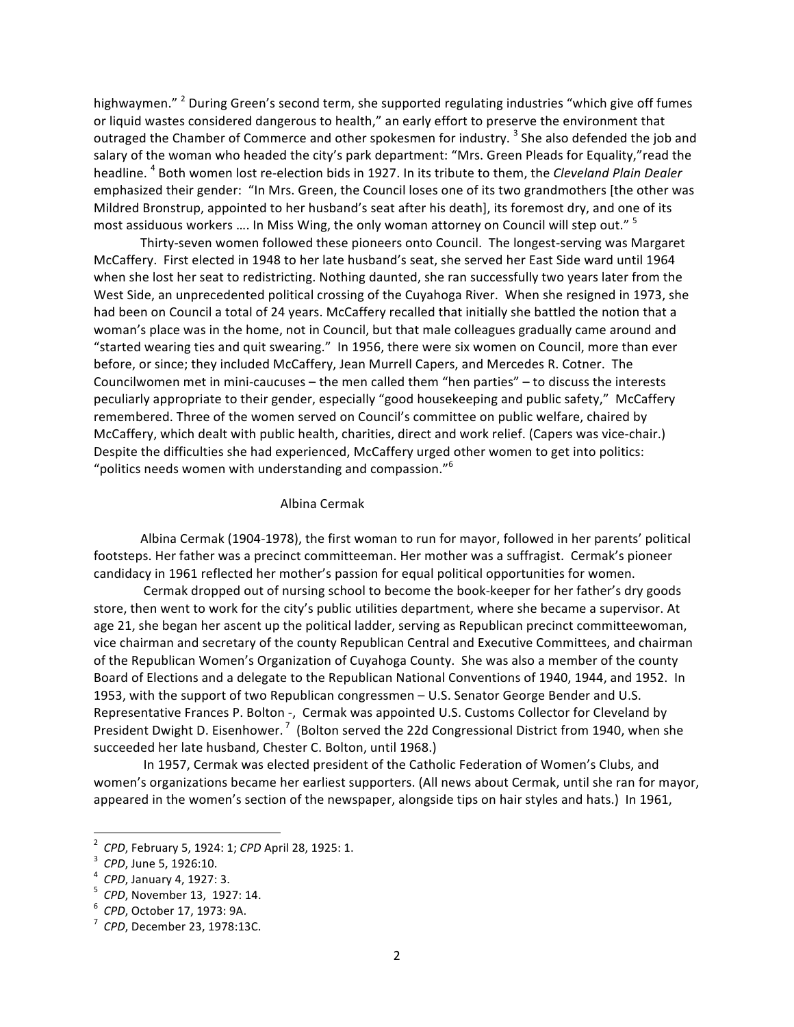highwaymen." <sup>2</sup> During Green's second term, she supported regulating industries "which give off fumes or liquid wastes considered dangerous to health," an early effort to preserve the environment that outraged the Chamber of Commerce and other spokesmen for industry.<sup>3</sup> She also defended the job and salary of the woman who headed the city's park department: "Mrs. Green Pleads for Equality,"read the headline. <sup>4</sup> Both women lost re-election bids in 1927. In its tribute to them, the *Cleveland Plain Dealer* emphasized their gender: "In Mrs. Green, the Council loses one of its two grandmothers [the other was Mildred Bronstrup, appointed to her husband's seat after his death], its foremost dry, and one of its most assiduous workers .... In Miss Wing, the only woman attorney on Council will step out." <sup>5</sup>

Thirty-seven women followed these pioneers onto Council. The longest-serving was Margaret McCaffery. First elected in 1948 to her late husband's seat, she served her East Side ward until 1964 when she lost her seat to redistricting. Nothing daunted, she ran successfully two years later from the West Side, an unprecedented political crossing of the Cuyahoga River. When she resigned in 1973, she had been on Council a total of 24 years. McCaffery recalled that initially she battled the notion that a woman's place was in the home, not in Council, but that male colleagues gradually came around and "started wearing ties and quit swearing." In 1956, there were six women on Council, more than ever before, or since; they included McCaffery, Jean Murrell Capers, and Mercedes R. Cotner. The Councilwomen met in mini-caucuses – the men called them "hen parties" – to discuss the interests peculiarly appropriate to their gender, especially "good housekeeping and public safety," McCaffery remembered. Three of the women served on Council's committee on public welfare, chaired by McCaffery, which dealt with public health, charities, direct and work relief. (Capers was vice-chair.) Despite the difficulties she had experienced, McCaffery urged other women to get into politics: "politics needs women with understanding and compassion." $6$ 

#### Albina Cermak

Albina Cermak (1904-1978), the first woman to run for mayor, followed in her parents' political footsteps. Her father was a precinct committeeman. Her mother was a suffragist. Cermak's pioneer candidacy in 1961 reflected her mother's passion for equal political opportunities for women.

Cermak dropped out of nursing school to become the book-keeper for her father's dry goods store, then went to work for the city's public utilities department, where she became a supervisor. At age 21, she began her ascent up the political ladder, serving as Republican precinct committeewoman, vice chairman and secretary of the county Republican Central and Executive Committees, and chairman of the Republican Women's Organization of Cuyahoga County. She was also a member of the county Board of Elections and a delegate to the Republican National Conventions of 1940, 1944, and 1952. In 1953, with the support of two Republican congressmen - U.S. Senator George Bender and U.S. Representative Frances P. Bolton -, Cermak was appointed U.S. Customs Collector for Cleveland by President Dwight D. Eisenhower.<sup>7</sup> (Bolton served the 22d Congressional District from 1940, when she succeeded her late husband, Chester C. Bolton, until 1968.)

In 1957, Cermak was elected president of the Catholic Federation of Women's Clubs, and women's organizations became her earliest supporters. (All news about Cermak, until she ran for mayor, appeared in the women's section of the newspaper, alongside tips on hair styles and hats.) In 1961,

<sup>2</sup> *CPD*, February 5, 1924: 1; *CPD* April 28, 1925: 1.

<sup>&</sup>lt;sup>3</sup> CPD, June 5, 1926:10.

<sup>&</sup>lt;sup>4</sup> CPD, January 4, 1927: 3.

<sup>&</sup>lt;sup>5</sup> CPD, November 13, 1927: 14.

<sup>&</sup>lt;sup>6</sup> CPD, October 17, 1973: 9A.

<sup>&</sup>lt;sup>7</sup> CPD, December 23, 1978:13C.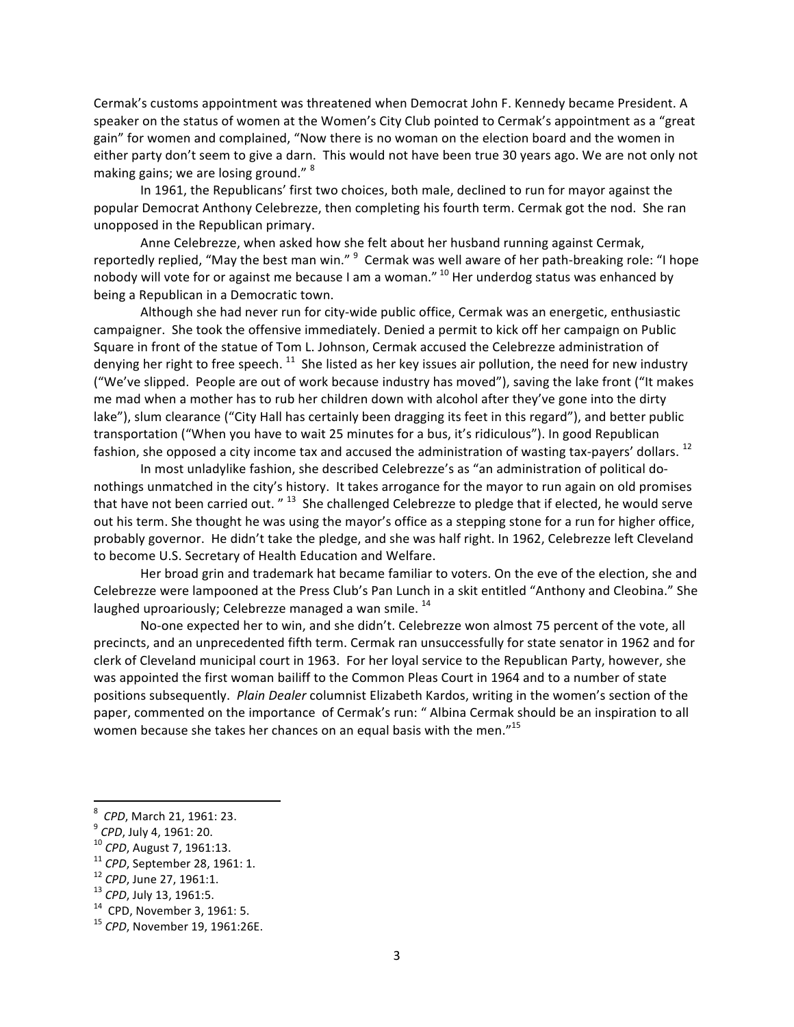Cermak's customs appointment was threatened when Democrat John F. Kennedy became President. A speaker on the status of women at the Women's City Club pointed to Cermak's appointment as a "great gain" for women and complained, "Now there is no woman on the election board and the women in either party don't seem to give a darn. This would not have been true 30 years ago. We are not only not making gains; we are losing ground." <sup>8</sup>

In 1961, the Republicans' first two choices, both male, declined to run for mayor against the popular Democrat Anthony Celebrezze, then completing his fourth term. Cermak got the nod. She ran unopposed in the Republican primary.

Anne Celebrezze, when asked how she felt about her husband running against Cermak, reportedly replied, "May the best man win." <sup>9</sup> Cermak was well aware of her path-breaking role: "I hope nobody will vote for or against me because I am a woman." <sup>10</sup> Her underdog status was enhanced by being a Republican in a Democratic town.

Although she had never run for city-wide public office, Cermak was an energetic, enthusiastic campaigner. She took the offensive immediately. Denied a permit to kick off her campaign on Public Square in front of the statue of Tom L. Johnson, Cermak accused the Celebrezze administration of denying her right to free speech.  $^{11}$  She listed as her key issues air pollution, the need for new industry ("We've slipped. People are out of work because industry has moved"), saving the lake front ("It makes me mad when a mother has to rub her children down with alcohol after they've gone into the dirty lake"), slum clearance ("City Hall has certainly been dragging its feet in this regard"), and better public transportation ("When you have to wait 25 minutes for a bus, it's ridiculous"). In good Republican fashion, she opposed a city income tax and accused the administration of wasting tax-payers' dollars. <sup>12</sup>

In most unladylike fashion, she described Celebrezze's as "an administration of political donothings unmatched in the city's history. It takes arrogance for the mayor to run again on old promises that have not been carried out.  $"$  <sup>13</sup> She challenged Celebrezze to pledge that if elected, he would serve out his term. She thought he was using the mayor's office as a stepping stone for a run for higher office, probably governor. He didn't take the pledge, and she was half right. In 1962, Celebrezze left Cleveland to become U.S. Secretary of Health Education and Welfare.

Her broad grin and trademark hat became familiar to voters. On the eve of the election, she and Celebrezze were lampooned at the Press Club's Pan Lunch in a skit entitled "Anthony and Cleobina." She laughed uproariously; Celebrezze managed a wan smile.<sup>14</sup>

No-one expected her to win, and she didn't. Celebrezze won almost 75 percent of the vote, all precincts, and an unprecedented fifth term. Cermak ran unsuccessfully for state senator in 1962 and for clerk of Cleveland municipal court in 1963. For her loyal service to the Republican Party, however, she was appointed the first woman bailiff to the Common Pleas Court in 1964 and to a number of state positions subsequently. *Plain Dealer* columnist Elizabeth Kardos, writing in the women's section of the paper, commented on the importance of Cermak's run: " Albina Cermak should be an inspiration to all women because she takes her chances on an equal basis with the men."<sup>15</sup>

<sup>&</sup>lt;sup>8</sup> CPD, March 21, 1961: 23.

<sup>&</sup>lt;sup>9</sup> CPD, July 4, 1961: 20.<br>
<sup>10</sup> CPD, August 7, 1961:13.<br>
<sup>11</sup> CPD, September 28, 1961: 1.<br>
<sup>12</sup> CPD, June 27, 1961:1.<br>
<sup>13</sup> CPD, July 13, 1961:5.<br>
<sup>14</sup> CPD, November 3, 1961: 5.<br>
<sup>15</sup> CPD, November 19, 1961:26E.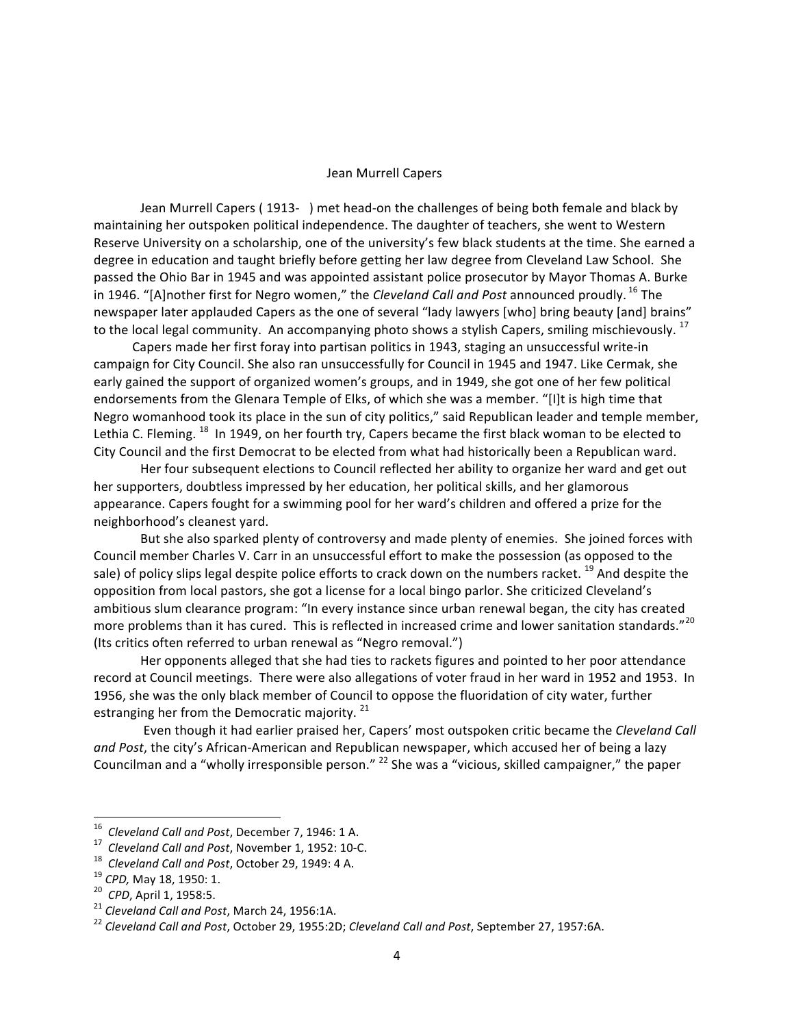## Jean Murrell Capers

Jean Murrell Capers (1913-) met head-on the challenges of being both female and black by maintaining her outspoken political independence. The daughter of teachers, she went to Western Reserve University on a scholarship, one of the university's few black students at the time. She earned a degree in education and taught briefly before getting her law degree from Cleveland Law School. She passed the Ohio Bar in 1945 and was appointed assistant police prosecutor by Mayor Thomas A. Burke in 1946. "[A]nother first for Negro women," the *Cleveland Call and Post* announced proudly. <sup>16</sup> The newspaper later applauded Capers as the one of several "lady lawyers [who] bring beauty [and] brains" to the local legal community. An accompanying photo shows a stylish Capers, smiling mischievously.<sup>17</sup>

Capers made her first foray into partisan politics in 1943, staging an unsuccessful write-in campaign for City Council. She also ran unsuccessfully for Council in 1945 and 1947. Like Cermak, she early gained the support of organized women's groups, and in 1949, she got one of her few political endorsements from the Glenara Temple of Elks, of which she was a member. "[I]t is high time that Negro womanhood took its place in the sun of city politics," said Republican leader and temple member, Lethia C. Fleming.  $^{18}$  In 1949, on her fourth try, Capers became the first black woman to be elected to City Council and the first Democrat to be elected from what had historically been a Republican ward.

Her four subsequent elections to Council reflected her ability to organize her ward and get out her supporters, doubtless impressed by her education, her political skills, and her glamorous appearance. Capers fought for a swimming pool for her ward's children and offered a prize for the neighborhood's cleanest yard.

But she also sparked plenty of controversy and made plenty of enemies. She joined forces with Council member Charles V. Carr in an unsuccessful effort to make the possession (as opposed to the sale) of policy slips legal despite police efforts to crack down on the numbers racket.<sup>19</sup> And despite the opposition from local pastors, she got a license for a local bingo parlor. She criticized Cleveland's ambitious slum clearance program: "In every instance since urban renewal began, the city has created more problems than it has cured. This is reflected in increased crime and lower sanitation standards."<sup>20</sup> (Its critics often referred to urban renewal as "Negro removal.")

Her opponents alleged that she had ties to rackets figures and pointed to her poor attendance record at Council meetings. There were also allegations of voter fraud in her ward in 1952 and 1953. In 1956, she was the only black member of Council to oppose the fluoridation of city water, further estranging her from the Democratic majority.  $21$ 

Even though it had earlier praised her, Capers' most outspoken critic became the *Cleveland Call* and Post, the city's African-American and Republican newspaper, which accused her of being a lazy Councilman and a "wholly irresponsible person."  $^{22}$  She was a "vicious, skilled campaigner," the paper

<sup>&</sup>lt;sup>16</sup> Cleveland Call and Post, December 7, 1946: 1 A.<br>
<sup>17</sup> Cleveland Call and Post, November 1, 1952: 10-C.<br>
<sup>18</sup> Cleveland Call and Post, October 29, 1949: 4 A.<br>
<sup>19</sup> CPD, May 18, 1950: 1.<br>
<sup>20</sup> CPD, April 1, 1958:5.<br>
<sup>2</sup>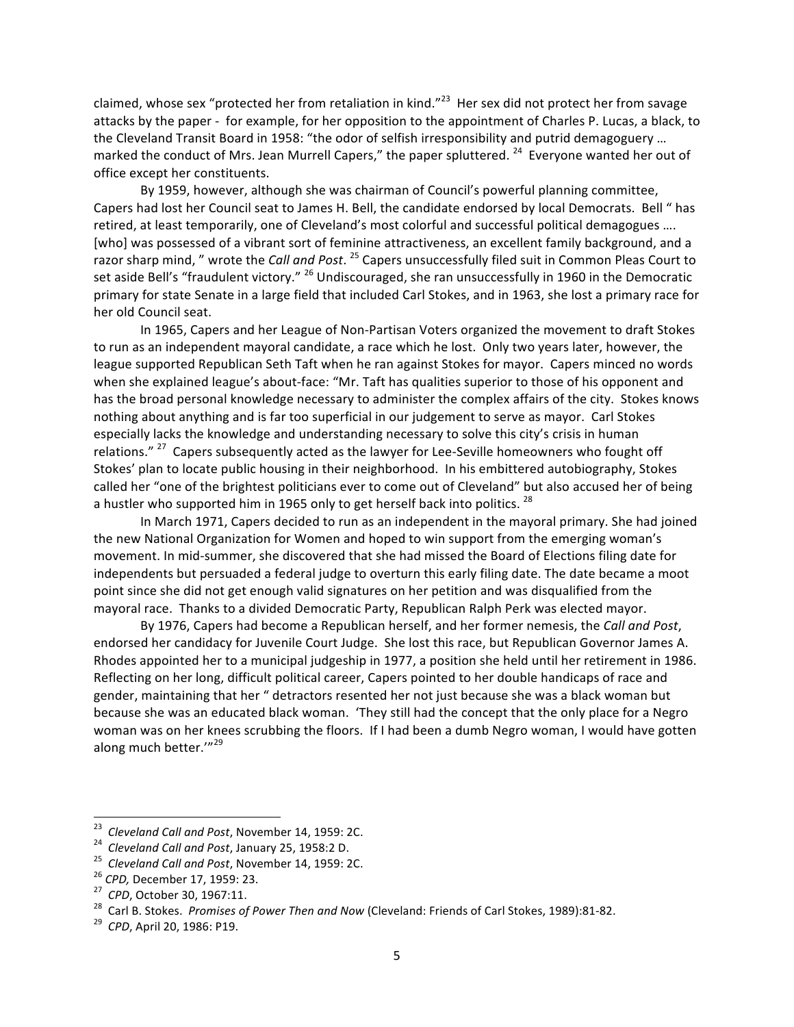claimed, whose sex "protected her from retaliation in kind."<sup>23</sup> Her sex did not protect her from savage attacks by the paper - for example, for her opposition to the appointment of Charles P. Lucas, a black, to the Cleveland Transit Board in 1958: "the odor of selfish irresponsibility and putrid demagoguery ... marked the conduct of Mrs. Jean Murrell Capers," the paper spluttered.  $^{24}$  Everyone wanted her out of office except her constituents.

By 1959, however, although she was chairman of Council's powerful planning committee, Capers had lost her Council seat to James H. Bell, the candidate endorsed by local Democrats. Bell " has retired, at least temporarily, one of Cleveland's most colorful and successful political demagogues .... [who] was possessed of a vibrant sort of feminine attractiveness, an excellent family background, and a razor sharp mind, " wrote the *Call and Post*.<sup>25</sup> Capers unsuccessfully filed suit in Common Pleas Court to set aside Bell's "fraudulent victory." <sup>26</sup> Undiscouraged, she ran unsuccessfully in 1960 in the Democratic primary for state Senate in a large field that included Carl Stokes, and in 1963, she lost a primary race for her old Council seat.

In 1965, Capers and her League of Non-Partisan Voters organized the movement to draft Stokes to run as an independent mayoral candidate, a race which he lost. Only two years later, however, the league supported Republican Seth Taft when he ran against Stokes for mayor. Capers minced no words when she explained league's about-face: "Mr. Taft has qualities superior to those of his opponent and has the broad personal knowledge necessary to administer the complex affairs of the city. Stokes knows nothing about anything and is far too superficial in our judgement to serve as mayor. Carl Stokes especially lacks the knowledge and understanding necessary to solve this city's crisis in human relations."  $27$  Capers subsequently acted as the lawyer for Lee-Seville homeowners who fought off Stokes' plan to locate public housing in their neighborhood. In his embittered autobiography, Stokes called her "one of the brightest politicians ever to come out of Cleveland" but also accused her of being a hustler who supported him in 1965 only to get herself back into politics. <sup>28</sup>

In March 1971, Capers decided to run as an independent in the mayoral primary. She had joined the new National Organization for Women and hoped to win support from the emerging woman's movement. In mid-summer, she discovered that she had missed the Board of Elections filing date for independents but persuaded a federal judge to overturn this early filing date. The date became a moot point since she did not get enough valid signatures on her petition and was disqualified from the mayoral race. Thanks to a divided Democratic Party, Republican Ralph Perk was elected mayor.

By 1976, Capers had become a Republican herself, and her former nemesis, the *Call and Post*, endorsed her candidacy for Juvenile Court Judge. She lost this race, but Republican Governor James A. Rhodes appointed her to a municipal judgeship in 1977, a position she held until her retirement in 1986. Reflecting on her long, difficult political career, Capers pointed to her double handicaps of race and gender, maintaining that her " detractors resented her not just because she was a black woman but because she was an educated black woman. They still had the concept that the only place for a Negro woman was on her knees scrubbing the floors. If I had been a dumb Negro woman, I would have gotten along much better.'"<sup>29</sup>

<sup>&</sup>lt;sup>23</sup> Cleveland Call and Post, November 14, 1959: 2C.<br>
<sup>24</sup> Cleveland Call and Post, January 25, 1958:2 D.<br>
<sup>25</sup> Cleveland Call and Post, November 14, 1959: 2C.<br>
<sup>26</sup> CPD, December 17, 1959: 23.<br>
<sup>27</sup> CPD, October 30, 1967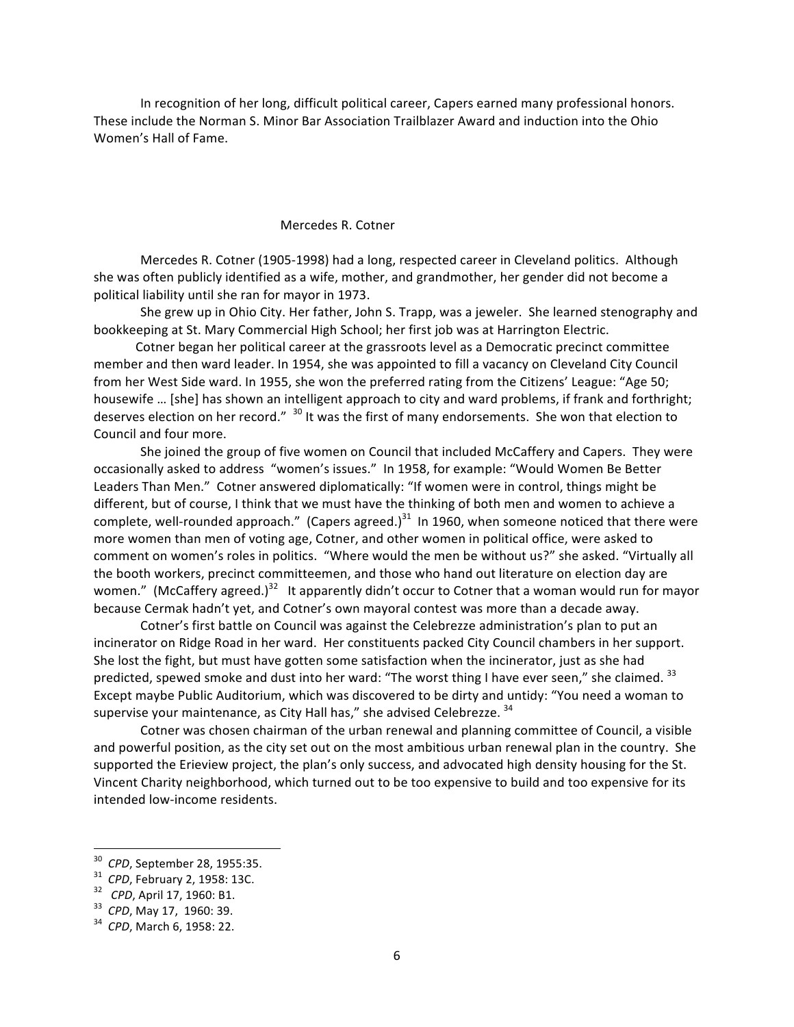In recognition of her long, difficult political career, Capers earned many professional honors. These include the Norman S. Minor Bar Association Trailblazer Award and induction into the Ohio Women's Hall of Fame.

### Mercedes R. Cotner

Mercedes R. Cotner (1905-1998) had a long, respected career in Cleveland politics. Although she was often publicly identified as a wife, mother, and grandmother, her gender did not become a political liability until she ran for mayor in 1973.

She grew up in Ohio City. Her father, John S. Trapp, was a jeweler. She learned stenography and bookkeeping at St. Mary Commercial High School; her first job was at Harrington Electric.

Cotner began her political career at the grassroots level as a Democratic precinct committee member and then ward leader. In 1954, she was appointed to fill a vacancy on Cleveland City Council from her West Side ward. In 1955, she won the preferred rating from the Citizens' League: "Age 50; housewife ... [she] has shown an intelligent approach to city and ward problems, if frank and forthright; deserves election on her record."  $30$  It was the first of many endorsements. She won that election to Council and four more.

She joined the group of five women on Council that included McCaffery and Capers. They were occasionally asked to address "women's issues." In 1958, for example: "Would Women Be Better Leaders Than Men." Cotner answered diplomatically: "If women were in control, things might be different, but of course, I think that we must have the thinking of both men and women to achieve a complete, well-rounded approach." (Capers agreed.)<sup>31</sup> In 1960, when someone noticed that there were more women than men of voting age, Cotner, and other women in political office, were asked to comment on women's roles in politics. "Where would the men be without us?" she asked. "Virtually all the booth workers, precinct committeemen, and those who hand out literature on election day are women." (McCaffery agreed.)<sup>32</sup> It apparently didn't occur to Cotner that a woman would run for mayor because Cermak hadn't yet, and Cotner's own mayoral contest was more than a decade away.

Cotner's first battle on Council was against the Celebrezze administration's plan to put an incinerator on Ridge Road in her ward. Her constituents packed City Council chambers in her support. She lost the fight, but must have gotten some satisfaction when the incinerator, just as she had predicted, spewed smoke and dust into her ward: "The worst thing I have ever seen," she claimed.<sup>33</sup> Except maybe Public Auditorium, which was discovered to be dirty and untidy: "You need a woman to supervise your maintenance, as City Hall has," she advised Celebrezze.<sup>34</sup>

Cotner was chosen chairman of the urban renewal and planning committee of Council, a visible and powerful position, as the city set out on the most ambitious urban renewal plan in the country. She supported the Erieview project, the plan's only success, and advocated high density housing for the St. Vincent Charity neighborhood, which turned out to be too expensive to build and too expensive for its intended low-income residents.

<sup>&</sup>lt;sup>30</sup> *CPD*, September 28, 1955:35.<br>
<sup>31</sup> *CPD*, February 2, 1958: 13C.<br>
<sup>32</sup> *CPD*, April 17, 1960: B1.<br>
<sup>33</sup> *CPD*, May 17, 1960: 39.<br>
<sup>34</sup> *CPD*, March 6, 1958: 22.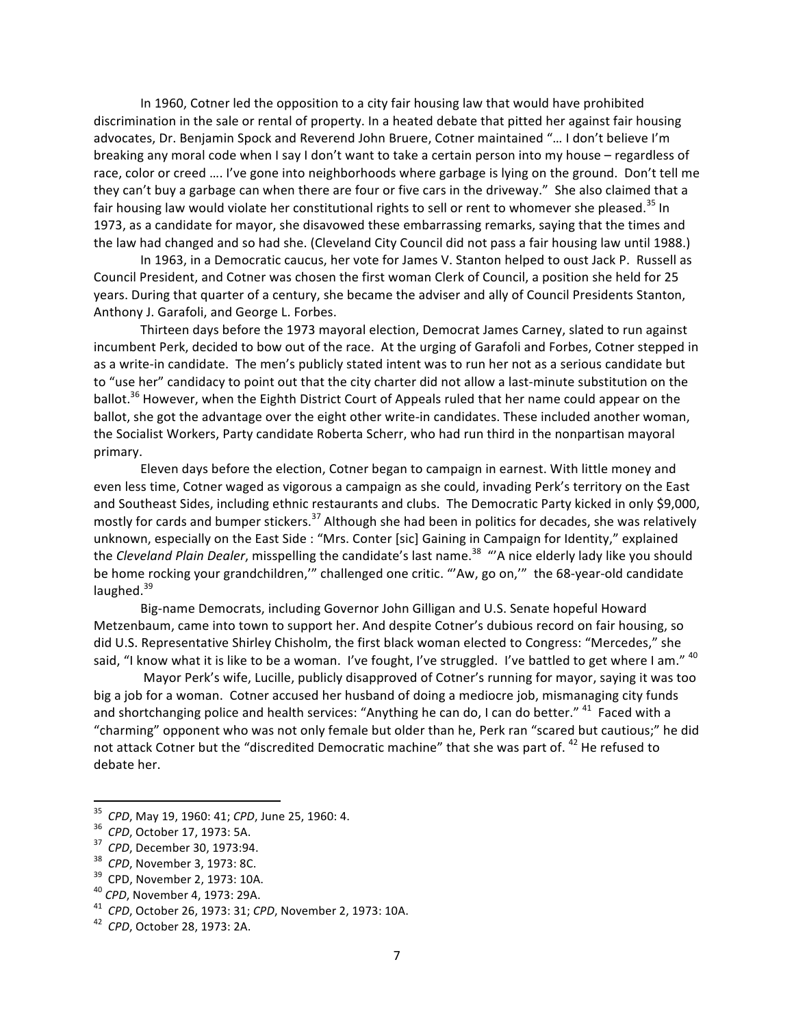In 1960, Cotner led the opposition to a city fair housing law that would have prohibited discrimination in the sale or rental of property. In a heated debate that pitted her against fair housing advocates, Dr. Benjamin Spock and Reverend John Bruere, Cotner maintained "... I don't believe I'm breaking any moral code when I say I don't want to take a certain person into my house – regardless of race, color or creed .... I've gone into neighborhoods where garbage is lying on the ground. Don't tell me they can't buy a garbage can when there are four or five cars in the driveway." She also claimed that a fair housing law would violate her constitutional rights to sell or rent to whomever she pleased.<sup>35</sup> In 1973, as a candidate for mayor, she disavowed these embarrassing remarks, saying that the times and the law had changed and so had she. (Cleveland City Council did not pass a fair housing law until 1988.)

In 1963, in a Democratic caucus, her vote for James V. Stanton helped to oust Jack P. Russell as Council President, and Cotner was chosen the first woman Clerk of Council, a position she held for 25 years. During that quarter of a century, she became the adviser and ally of Council Presidents Stanton, Anthony J. Garafoli, and George L. Forbes.

Thirteen days before the 1973 mayoral election, Democrat James Carney, slated to run against incumbent Perk, decided to bow out of the race. At the urging of Garafoli and Forbes, Cotner stepped in as a write-in candidate. The men's publicly stated intent was to run her not as a serious candidate but to "use her" candidacy to point out that the city charter did not allow a last-minute substitution on the ballot.<sup>36</sup> However, when the Eighth District Court of Appeals ruled that her name could appear on the ballot, she got the advantage over the eight other write-in candidates. These included another woman, the Socialist Workers, Party candidate Roberta Scherr, who had run third in the nonpartisan mayoral primary.

Eleven days before the election, Cotner began to campaign in earnest. With little money and even less time, Cotner waged as vigorous a campaign as she could, invading Perk's territory on the East and Southeast Sides, including ethnic restaurants and clubs. The Democratic Party kicked in only \$9,000, mostly for cards and bumper stickers.<sup>37</sup> Although she had been in politics for decades, she was relatively unknown, especially on the East Side : "Mrs. Conter [sic] Gaining in Campaign for Identity," explained the *Cleveland Plain Dealer*, misspelling the candidate's last name.<sup>38</sup> "'A nice elderly lady like you should be home rocking your grandchildren," challenged one critic. "'Aw, go on," the 68-year-old candidate laughed. $39$ 

Big-name Democrats, including Governor John Gilligan and U.S. Senate hopeful Howard Metzenbaum, came into town to support her. And despite Cotner's dubious record on fair housing, so did U.S. Representative Shirley Chisholm, the first black woman elected to Congress: "Mercedes," she said, "I know what it is like to be a woman. I've fought, I've struggled. I've battled to get where I am." <sup>40</sup>

Mayor Perk's wife, Lucille, publicly disapproved of Cotner's running for mayor, saying it was too big a job for a woman. Cotner accused her husband of doing a mediocre job, mismanaging city funds and shortchanging police and health services: "Anything he can do, I can do better." <sup>41</sup> Faced with a "charming" opponent who was not only female but older than he, Perk ran "scared but cautious;" he did not attack Cotner but the "discredited Democratic machine" that she was part of.  $42$  He refused to debate her.

<sup>&</sup>lt;sup>35</sup> CPD, May 19, 1960: 41; CPD, June 25, 1960: 4.

<sup>&</sup>lt;sup>36</sup> CPD, October 17, 1973: 5A.<br>
<sup>37</sup> CPD, December 30, 1973:94.<br>
<sup>38</sup> CPD, November 3, 1973: 8C.<br>
<sup>39</sup> CPD, November 2, 1973: 10A.<br>
<sup>40</sup> CPD, November 4, 1973: 29A.<br>
<sup>41</sup> CPD, October 26, 1973: 31; CPD, November 2, 1973: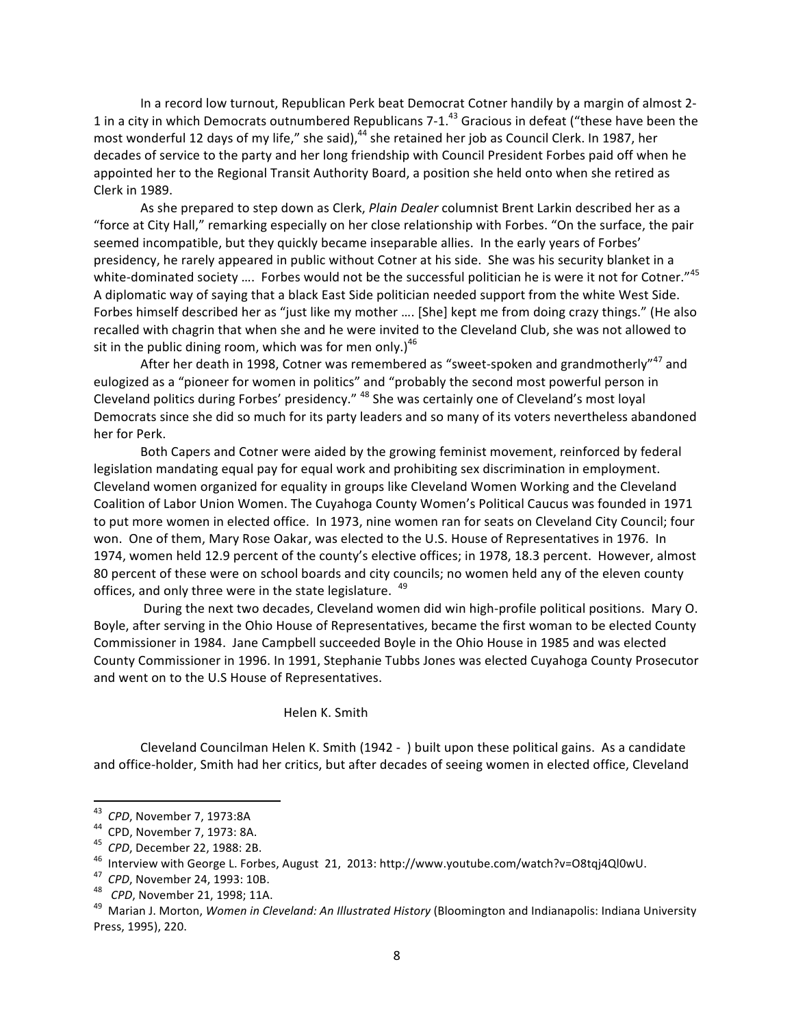In a record low turnout, Republican Perk beat Democrat Cotner handily by a margin of almost 2-1 in a city in which Democrats outnumbered Republicans 7-1.<sup>43</sup> Gracious in defeat ("these have been the most wonderful 12 days of my life," she said),<sup>44</sup> she retained her job as Council Clerk. In 1987, her decades of service to the party and her long friendship with Council President Forbes paid off when he appointed her to the Regional Transit Authority Board, a position she held onto when she retired as Clerk in 1989.

As she prepared to step down as Clerk, *Plain Dealer* columnist Brent Larkin described her as a "force at City Hall," remarking especially on her close relationship with Forbes. "On the surface, the pair seemed incompatible, but they quickly became inseparable allies. In the early years of Forbes' presidency, he rarely appeared in public without Cotner at his side. She was his security blanket in a white-dominated society .... Forbes would not be the successful politician he is were it not for Cotner."<sup>45</sup> A diplomatic way of saying that a black East Side politician needed support from the white West Side. Forbes himself described her as "just like my mother .... [She] kept me from doing crazy things." (He also recalled with chagrin that when she and he were invited to the Cleveland Club, she was not allowed to sit in the public dining room, which was for men only.)<sup>46</sup>

After her death in 1998, Cotner was remembered as "sweet-spoken and grandmotherly"<sup>47</sup> and eulogized as a "pioneer for women in politics" and "probably the second most powerful person in Cleveland politics during Forbes' presidency."  $48$  She was certainly one of Cleveland's most loyal Democrats since she did so much for its party leaders and so many of its voters nevertheless abandoned her for Perk.

Both Capers and Cotner were aided by the growing feminist movement, reinforced by federal legislation mandating equal pay for equal work and prohibiting sex discrimination in employment. Cleveland women organized for equality in groups like Cleveland Women Working and the Cleveland Coalition of Labor Union Women. The Cuyahoga County Women's Political Caucus was founded in 1971 to put more women in elected office. In 1973, nine women ran for seats on Cleveland City Council; four won. One of them, Mary Rose Oakar, was elected to the U.S. House of Representatives in 1976. In 1974, women held 12.9 percent of the county's elective offices; in 1978, 18.3 percent. However, almost 80 percent of these were on school boards and city councils; no women held any of the eleven county offices, and only three were in the state legislature.  $49$ 

During the next two decades, Cleveland women did win high-profile political positions. Mary O. Boyle, after serving in the Ohio House of Representatives, became the first woman to be elected County Commissioner in 1984. Jane Campbell succeeded Boyle in the Ohio House in 1985 and was elected County Commissioner in 1996. In 1991, Stephanie Tubbs Jones was elected Cuyahoga County Prosecutor and went on to the U.S House of Representatives.

# Helen K. Smith

Cleveland Councilman Helen K. Smith (1942 - ) built upon these political gains. As a candidate and office-holder, Smith had her critics, but after decades of seeing women in elected office, Cleveland

<sup>&</sup>lt;sup>43</sup> CPD, November 7, 1973:8A

<sup>&</sup>lt;sup>44</sup> CPD, November 7, 1973: 8A.<br>
<sup>45</sup> CPD, December 22, 1988: 2B.<br>
<sup>45</sup> Interview with George L. Forbes, August 21, 2013: http://www.youtube.com/watch?v=O8tqj4Ql0wU.<br>
<sup>47</sup> CPD, November 24, 1993: 10B.<br>
<sup>48</sup> CPD, November Press, 1995), 220.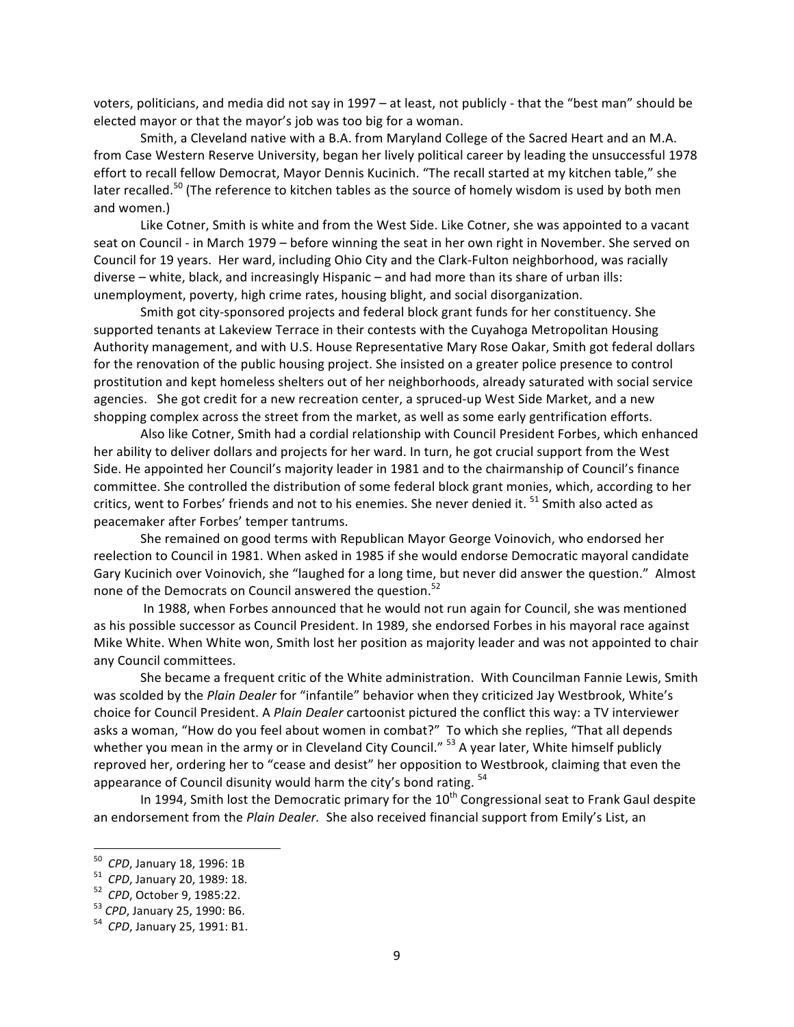voters, politicians, and media did not say in 1997 – at least, not publicly - that the "best man" should be elected mayor or that the mayor's job was too big for a woman.

Smith, a Cleveland native with a B.A. from Maryland College of the Sacred Heart and an M.A. from Case Western Reserve University, began her lively political career by leading the unsuccessful 1978 effort to recall fellow Democrat, Mayor Dennis Kucinich. "The recall started at my kitchen table," she later recalled.<sup>50</sup> (The reference to kitchen tables as the source of homely wisdom is used by both men and women.)

Like Cotner, Smith is white and from the West Side. Like Cotner, she was appointed to a vacant seat on Council - in March 1979 – before winning the seat in her own right in November. She served on Council for 19 years. Her ward, including Ohio City and the Clark-Fulton neighborhood, was racially diverse – white, black, and increasingly Hispanic – and had more than its share of urban ills: unemployment, poverty, high crime rates, housing blight, and social disorganization.

Smith got city-sponsored projects and federal block grant funds for her constituency. She supported tenants at Lakeview Terrace in their contests with the Cuyahoga Metropolitan Housing Authority management, and with U.S. House Representative Mary Rose Oakar, Smith got federal dollars for the renovation of the public housing project. She insisted on a greater police presence to control prostitution and kept homeless shelters out of her neighborhoods, already saturated with social service agencies. She got credit for a new recreation center, a spruced-up West Side Market, and a new shopping complex across the street from the market, as well as some early gentrification efforts.

Also like Cotner, Smith had a cordial relationship with Council President Forbes, which enhanced her ability to deliver dollars and projects for her ward. In turn, he got crucial support from the West Side. He appointed her Council's majority leader in 1981 and to the chairmanship of Council's finance committee. She controlled the distribution of some federal block grant monies, which, according to her critics, went to Forbes' friends and not to his enemies. She never denied it.<sup>51</sup> Smith also acted as peacemaker after Forbes' temper tantrums.

She remained on good terms with Republican Mayor George Voinovich, who endorsed her reelection to Council in 1981. When asked in 1985 if she would endorse Democratic mayoral candidate Gary Kucinich over Voinovich, she "laughed for a long time, but never did answer the question." Almost none of the Democrats on Council answered the question.<sup>52</sup>

In 1988, when Forbes announced that he would not run again for Council, she was mentioned as his possible successor as Council President. In 1989, she endorsed Forbes in his mayoral race against Mike White. When White won, Smith lost her position as majority leader and was not appointed to chair any Council committees.

She became a frequent critic of the White administration. With Councilman Fannie Lewis, Smith was scolded by the *Plain Dealer* for "infantile" behavior when they criticized Jay Westbrook, White's choice for Council President. A *Plain Dealer* cartoonist pictured the conflict this way: a TV interviewer asks a woman, "How do you feel about women in combat?" To which she replies, "That all depends whether you mean in the army or in Cleveland City Council."  $53$  A year later, White himself publicly reproved her, ordering her to "cease and desist" her opposition to Westbrook, claiming that even the appearance of Council disunity would harm the city's bond rating.  $54$ 

In 1994, Smith lost the Democratic primary for the  $10<sup>th</sup>$  Congressional seat to Frank Gaul despite an endorsement from the *Plain Dealer*. She also received financial support from Emily's List, an

 $50$  CPD, January 18, 1996: 1B

<sup>&</sup>lt;sup>51</sup> *CPD*, January 20, 1989: 18.<br>
<sup>52</sup> *CPD*, October 9, 1985:22.<br>
<sup>53</sup> *CPD*, January 25, 1990: B6.<br>
<sup>54</sup> *CPD*, January 25, 1991: B1.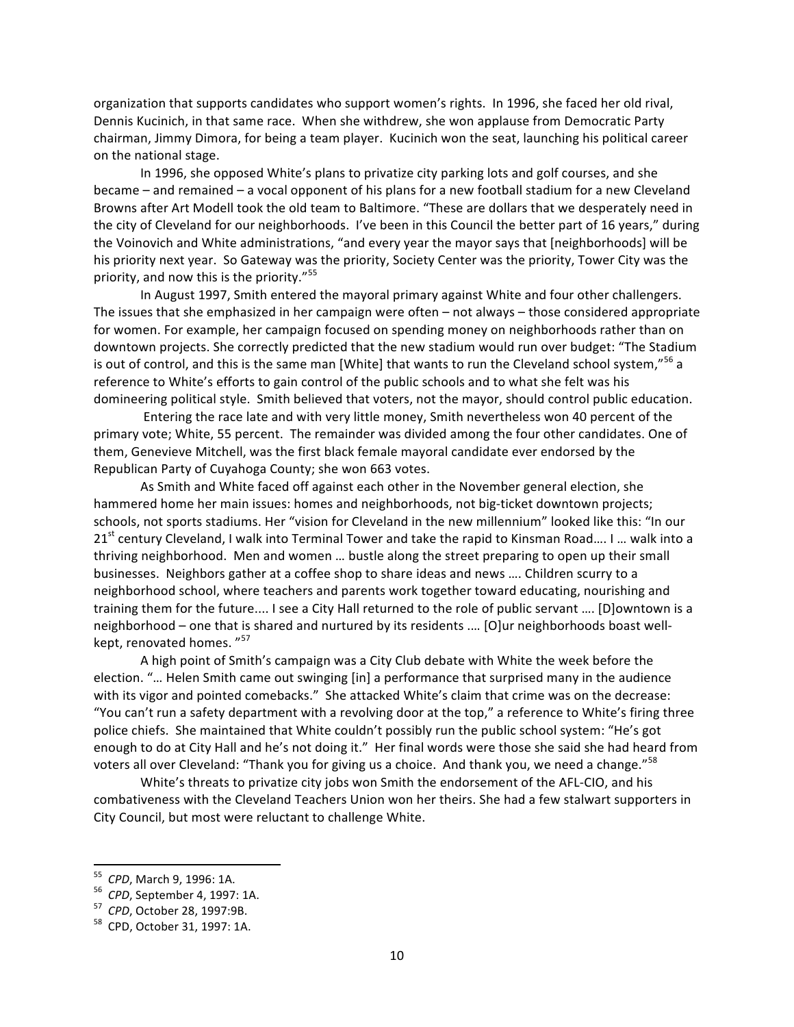organization that supports candidates who support women's rights. In 1996, she faced her old rival, Dennis Kucinich, in that same race. When she withdrew, she won applause from Democratic Party chairman, Jimmy Dimora, for being a team player. Kucinich won the seat, launching his political career on the national stage.

In 1996, she opposed White's plans to privatize city parking lots and golf courses, and she became – and remained – a vocal opponent of his plans for a new football stadium for a new Cleveland Browns after Art Modell took the old team to Baltimore. "These are dollars that we desperately need in the city of Cleveland for our neighborhoods. I've been in this Council the better part of 16 years," during the Voinovich and White administrations, "and every year the mayor says that [neighborhoods] will be his priority next year. So Gateway was the priority, Society Center was the priority, Tower City was the priority, and now this is the priority." $55$ 

In August 1997, Smith entered the mayoral primary against White and four other challengers. The issues that she emphasized in her campaign were often – not always – those considered appropriate for women. For example, her campaign focused on spending money on neighborhoods rather than on downtown projects. She correctly predicted that the new stadium would run over budget: "The Stadium is out of control, and this is the same man [White] that wants to run the Cleveland school system,"<sup>56</sup> a reference to White's efforts to gain control of the public schools and to what she felt was his domineering political style. Smith believed that voters, not the mayor, should control public education.

Entering the race late and with very little money, Smith nevertheless won 40 percent of the primary vote; White, 55 percent. The remainder was divided among the four other candidates. One of them, Genevieve Mitchell, was the first black female mayoral candidate ever endorsed by the Republican Party of Cuyahoga County; she won 663 votes.

As Smith and White faced off against each other in the November general election, she hammered home her main issues: homes and neighborhoods, not big-ticket downtown projects; schools, not sports stadiums. Her "vision for Cleveland in the new millennium" looked like this: "In our  $21<sup>st</sup>$  century Cleveland, I walk into Terminal Tower and take the rapid to Kinsman Road.... I ... walk into a thriving neighborhood. Men and women ... bustle along the street preparing to open up their small businesses. Neighbors gather at a coffee shop to share ideas and news .... Children scurry to a neighborhood school, where teachers and parents work together toward educating, nourishing and training them for the future.... I see a City Hall returned to the role of public servant .... [D]owntown is a neighborhood – one that is shared and nurtured by its residents .... [O]ur neighborhoods boast wellkept, renovated homes.<sup>"57</sup>

A high point of Smith's campaign was a City Club debate with White the week before the election. "... Helen Smith came out swinging [in] a performance that surprised many in the audience with its vigor and pointed comebacks." She attacked White's claim that crime was on the decrease: "You can't run a safety department with a revolving door at the top," a reference to White's firing three police chiefs. She maintained that White couldn't possibly run the public school system: "He's got enough to do at City Hall and he's not doing it." Her final words were those she said she had heard from voters all over Cleveland: "Thank you for giving us a choice. And thank you, we need a change."<sup>58</sup>

White's threats to privatize city jobs won Smith the endorsement of the AFL-CIO, and his combativeness with the Cleveland Teachers Union won her theirs. She had a few stalwart supporters in City Council, but most were reluctant to challenge White.

 $55$  CPD, March 9, 1996: 1A.

<sup>5&</sup>lt;sup>5</sup> *CPD*, September 4, 1997: 1A.<br><sup>57</sup> *CPD*, October 28, 1997:9B.<br><sup>58</sup> CPD, October 31, 1997: 1A.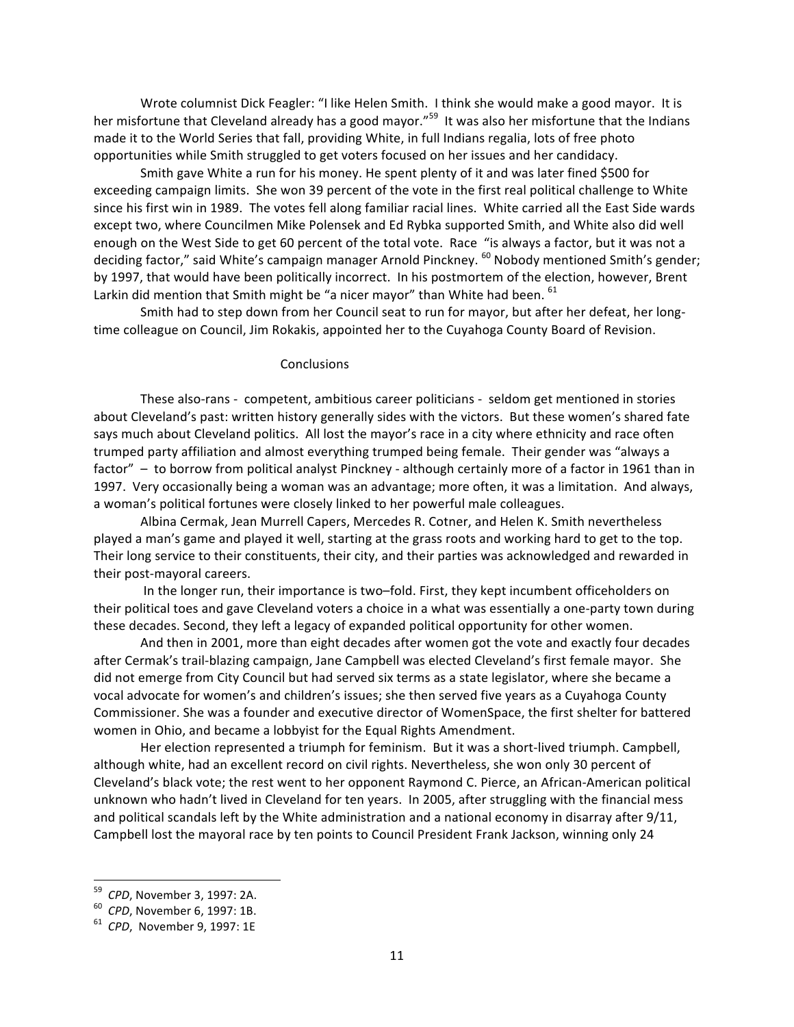Wrote columnist Dick Feagler: "I like Helen Smith. I think she would make a good mayor. It is her misfortune that Cleveland already has a good mayor."<sup>59</sup> It was also her misfortune that the Indians made it to the World Series that fall, providing White, in full Indians regalia, lots of free photo opportunities while Smith struggled to get voters focused on her issues and her candidacy.

Smith gave White a run for his money. He spent plenty of it and was later fined \$500 for exceeding campaign limits. She won 39 percent of the vote in the first real political challenge to White since his first win in 1989. The votes fell along familiar racial lines. White carried all the East Side wards except two, where Councilmen Mike Polensek and Ed Rybka supported Smith, and White also did well enough on the West Side to get 60 percent of the total vote. Race "is always a factor, but it was not a deciding factor," said White's campaign manager Arnold Pinckney. <sup>60</sup> Nobody mentioned Smith's gender; by 1997, that would have been politically incorrect. In his postmortem of the election, however, Brent Larkin did mention that Smith might be "a nicer mayor" than White had been.  $61$ 

Smith had to step down from her Council seat to run for mayor, but after her defeat, her longtime colleague on Council, Jim Rokakis, appointed her to the Cuyahoga County Board of Revision.

# **Conclusions**

These also-rans - competent, ambitious career politicians - seldom get mentioned in stories about Cleveland's past: written history generally sides with the victors. But these women's shared fate says much about Cleveland politics. All lost the mayor's race in a city where ethnicity and race often trumped party affiliation and almost everything trumped being female. Their gender was "always a factor" - to borrow from political analyst Pinckney - although certainly more of a factor in 1961 than in 1997. Very occasionally being a woman was an advantage; more often, it was a limitation. And always, a woman's political fortunes were closely linked to her powerful male colleagues.

Albina Cermak, Jean Murrell Capers, Mercedes R. Cotner, and Helen K. Smith nevertheless played a man's game and played it well, starting at the grass roots and working hard to get to the top. Their long service to their constituents, their city, and their parties was acknowledged and rewarded in their post-mayoral careers.

In the longer run, their importance is two-fold. First, they kept incumbent officeholders on their political toes and gave Cleveland voters a choice in a what was essentially a one-party town during these decades. Second, they left a legacy of expanded political opportunity for other women.

And then in 2001, more than eight decades after women got the vote and exactly four decades after Cermak's trail-blazing campaign, Jane Campbell was elected Cleveland's first female mayor. She did not emerge from City Council but had served six terms as a state legislator, where she became a vocal advocate for women's and children's issues; she then served five years as a Cuyahoga County Commissioner. She was a founder and executive director of WomenSpace, the first shelter for battered women in Ohio, and became a lobbyist for the Equal Rights Amendment.

Her election represented a triumph for feminism. But it was a short-lived triumph. Campbell, although white, had an excellent record on civil rights. Nevertheless, she won only 30 percent of Cleveland's black vote; the rest went to her opponent Raymond C. Pierce, an African-American political unknown who hadn't lived in Cleveland for ten years. In 2005, after struggling with the financial mess and political scandals left by the White administration and a national economy in disarray after  $9/11$ , Campbell lost the mayoral race by ten points to Council President Frank Jackson, winning only 24

<sup>&</sup>lt;sup>59</sup> *CPD,* November 3, 1997: 2A.<br><sup>60</sup> *CPD,* November 6, 1997: 1B.<br><sup>61</sup> *CPD,* November 9, 1997: 1E